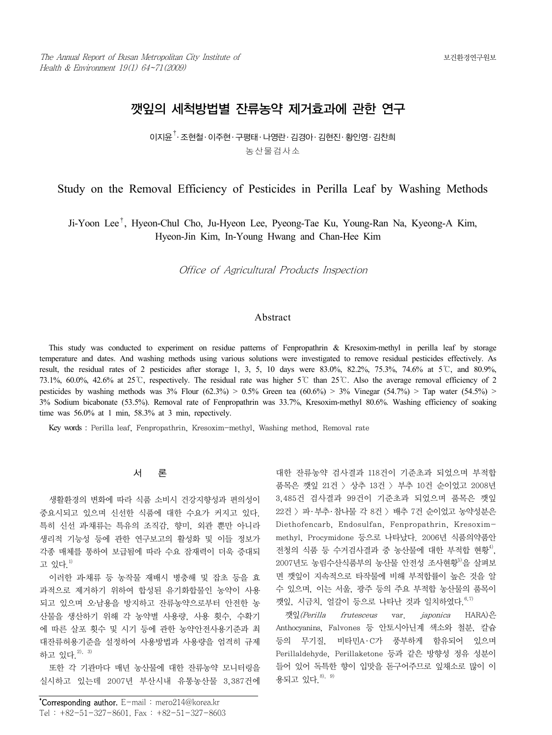# 깻잎의 세척방법별 잔류농약 제거효과에 관한 연구

이지윤†․ 조현철․ 이주현․ 구평태․ 나영란․ 김경아․ 김현진․ 황인영․ 김찬희 농산물검사소

# Study on the Removal Efficiency of Pesticides in Perilla Leaf by Washing Methods

Ji-Yoon Lee†, Hyeon-Chul Cho, Ju-Hyeon Lee, Pyeong-Tae Ku, Young-Ran Na, Kyeong-A Kim, Hyeon-Jin Kim, In-Young Hwang and Chan-Hee Kim

Office of Agricultural Products Inspection

### Abstract

This study was conducted to experiment on residue patterns of Fenpropathrin & Kresoxim-methyl in perilla leaf by storage temperature and dates. And washing methods using various solutions were investigated to remove residual pesticides effectively. As result, the residual rates of 2 pesticides after storage 1, 3, 5, 10 days were  $83.0\%$ ,  $82.2\%$ ,  $75.3\%$ ,  $74.6\%$  at  $5^{\circ}$ C, and  $80.9\%$ , 73.1%, 60.0%, 42.6% at 25℃, respectively. The residual rate was higher 5℃ than 25℃. Also the average removal efficiency of 2 pesticides by washing methods was  $3\%$  Flour (62.3%) > 0.5% Green tea (60.6%) >  $3\%$  Vinegar (54.7%) > Tap water (54.5%) > 3% Sodium bicabonate (53.5%). Removal rate of Fenpropathrin was 33.7%, Kresoxim-methyl 80.6%. Washing efficiency of soaking time was 56.0% at 1 min, 58.3% at 3 min, repectively.

Key words : Perilla leaf, Fenpropathrin, Kresoxim-methyl, Washing method, Removal rate

# 서 론

생활환경의 변화에 따라 식품 소비시 건강지향성과 편의성이 중요시되고 있으며 신선한 식품에 대한 수요가 커지고 있다. 특히 신선 과․채류는 특유의 조직감, 향미, 외관 뿐만 아니라 생리적 기능성 등에 관한 연구보고의 활성화 및 이들 정보가 각종 매체를 통하여 보급됨에 따라 수요 잠재력이 더욱 증대되 고 있다<sup>1)</sup>

이러한 과․채류 등 농작물 재배시 병충해 및 잡초 등을 효 과적으로 제거하기 위하여 합성된 유기화합물인 농약이 사용 되고 있으며 오․남용을 방지하고 잔류농약으로부터 안전한 농 산물을 생산하기 위해 각 농약별 사용량, 사용 횟수, 수확기 에 따른 살포 횟수 및 시기 등에 관한 농약안전사용기준과 최 대잔류허용기준을 설정하여 사용방법과 사용량을 엄격히 규제 하고 있다 <sup>2), 3)</sup>

또한 각 기관마다 매년 농산물에 대한 잔류농약 모니터링을 실시하고 있는데 2007년 부산시내 유통농산물 3,387건에 대한 잔류농약 검사결과 118건이 기준초과 되었으며 부적합 품목은 깻잎 21건 > 상추 13건 > 부추 10건 순이었고 2008년 3,485건 검사결과 99건이 기준초과 되었으며 품목은 깻잎 22건 > 파․ 부추․ 참나물 각 8건 > 배추 7건 순이었고 농약성분은 Diethofencarb, Endosulfan, Fenpropathrin, Kresoximmethyl, Procymidone 등으로 나타났다. 2006년 식품의약품안 전청의 식품 등 수거검사결과 중 농산물에 대한 부적합 현황<sup>4)</sup>, 2007년도 농림수산식품부의 농산물 안전성 조사현황<sup>5)</sup>을 살펴보 면 깻잎이 지속적으로 타작물에 비해 부적합률이 높은 것을 알 수 있으며, 이는 서울, 광주 등의 주요 부적합 농산물의 품목이 깻잎, 시금치, 얼갈이 등으로 나타난 것과 일치하였다.  $^{6,7)}$ 

깻잎(Perilla frutesceus var. japonica HARA)은 Anthocyanins, Falvones 등 안토시아닌계 색소와 철분, 칼슘 등의 무기질, 비타민A·C가 풍부하게 함유되어 있으며 Perillaldehyde, Perillaketone 등과 같은 방향성 정유 성분이 들어 있어 독특한 향이 입맛을 돋구어주므로 잎채소로 많이 이 용되고 있다<sup>8), 9)</sup>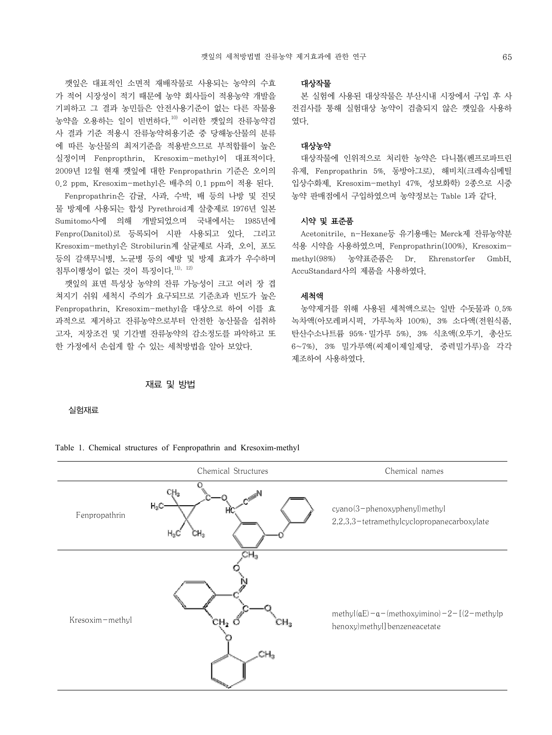깻잎은 대표적인 소면적 재배작물로 사용되는 농약의 수효 가 적어 시장성이 적기 때문에 농약 회사들이 적용농약 개발을 기피하고 그 결과 농민들은 안전사용기준이 없는 다른 작물용 농약을 오용하는 일이 빈번하다.<sup>10)</sup> 이러한 깻잎의 잔류농약검 사 결과 기준 적용시 잔류농약허용기준 중 당해농산물의 분류 에 따른 농산물의 최저기준을 적용받으므로 부적합률이 높은 실정이며 Fenpropthrin, Kresoxim-methyl이 대표적이다. 2009년 12월 현재 깻잎에 대한 Fenpropathrin 기준은 오이의 0.2 ppm, Kresoxim-methyl은 배추의 0.1 ppm이 적용 된다.

Fenpropathrin은 감귤, 사과, 수박, 배 등의 나방 및 진딧 물 방제에 사용되는 합성 Pyrethroid계 살충제로 1976년 일본 Sumitomo사에 의해 개발되었으며 국내에서는 1985년에 Fenpro(Danitol)로 등록되어 시판 사용되고 있다. 그리고 Kresoxim-methyl은 Strobilurin계 살균제로 사과, 오이, 포도 등의 갈색무늬병, 노균병 등의 예방 및 방제 효과가 우수하며 침투이행성이 없는 것이 특징이다.  $^{111,12)}$ 

깻잎의 표면 특성상 농약의 잔류 가능성이 크고 여러 장 겹 쳐지기 쉬워 세척시 주의가 요구되므로 기준초과 빈도가 높은 Fenpropathrin, Kresoxim-methyl을 대상으로 하여 이를 효 과적으로 제거하고 잔류농약으로부터 안전한 농산물을 섭취하 고자, 저장조건 및 기간별 잔류농약의 감소정도를 파악하고 또 한 가정에서 손쉽게 할 수 있는 세척방법을 알아 보았다.

### 재료 및 방법

실험재료

Table 1. Chemical structures of Fenpropathrin and Kresoxim-methyl

|                 | Chemical Structures                | Chemical names                                                                                    |  |
|-----------------|------------------------------------|---------------------------------------------------------------------------------------------------|--|
| Fenpropathrin   | о<br>$H_3C$<br>M.<br>$H_3C$<br>CH3 | cyano(3-phenoxyphenyl)methyl<br>2,2,3,3-tetramethylcyclopropanecarboxylate                        |  |
| Kresoxim-methyl | <b>∂H</b> a.<br>CH2.<br>1Н,<br>CH3 | methyl $(aE) - a$ – (methoxyimino) – 2 – $[(2 - \text{methylp})$<br>henoxy)methyl] benzeneacetate |  |

#### 대상작물

본 실험에 사용된 대상작물은 부산시내 시장에서 구입 후 사 전검사를 통해 실험대상 농약이 검출되지 않은 깻잎을 사용하 였다.

### 대상농약

대상작물에 인위적으로 처리한 농약은 다니톨(펜프로파트린 유제, Fenpropathrin 5%, 동방아그로), 해비치(크레속심메틸 입상수화제, Kresoxim-methyl 47%, 성보화학) 2종으로 시중 농약 판매점에서 구입하였으며 농약정보는 Table 1과 같다.

### 시약 및 표준품

Acetonitrile, n-Hexane등 유기용매는 Merck제 잔류농약분 석용 시약을 사용하였으며, Fenpropathrin(100%), Kresoximmethyl(98%) 농약표준품은 Dr. Ehrenstorfer GmbH, AccuStandard사의 제품을 사용하였다.

### 세척액

농약제거를 위해 사용된 세척액으로는 일반 수돗물과 0.5% 녹차액(아모레퍼시픽, 가루녹차 100%), 3% 소다액(전원식품, 탄산수소나트륨 95% ․ 밀가루 5%), 3% 식초액(오뚜기, 총산도 6~7%), 3% 밀가루액(씨제이제일제당, 중력밀가루)을 각각 제조하여 사용하였다.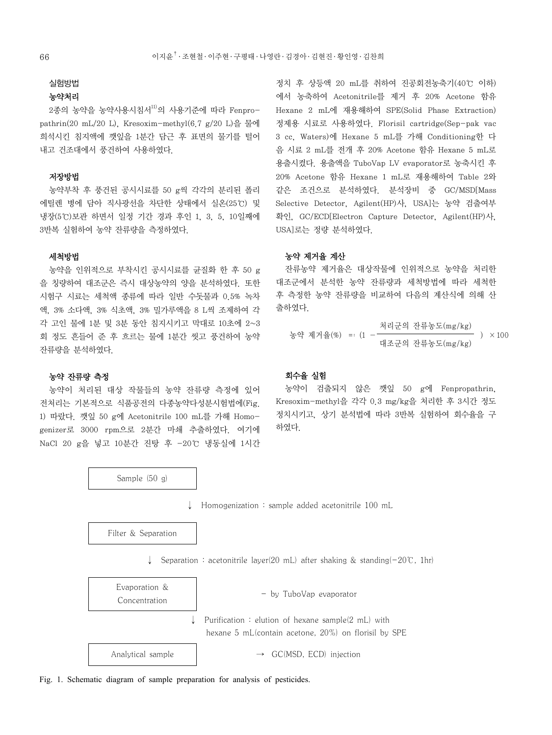### 실험방법

### 농약처리

2종의 농약을 농약사용시침서<sup>11)</sup>의 사용기준에 따라 Fenpropathrin(20 mL/20 L), Kresoxim-methyl(6.7 g/20 L)을 물에 희석시킨 침지액에 깻잎을 1분간 담근 후 표면의 물기를 털어 내고 건조대에서 풍건하여 사용하였다.

### 저장방법

농약부착 후 풍건된 공시시료를 50 g씩 각각의 분리된 폴리 에틸렌 병에 담아 직사광선을 차단한 상태에서 실온(25℃) 및 냉장(5℃)보관 하면서 일정 기간 경과 후인 1, 3, 5, 10일째에 3반복 실험하여 농약 잔류량을 측정하였다.

### 세척방법

농약을 인위적으로 부착시킨 공시시료를 균질화 한 후 50 g 을 칭량하여 대조군은 즉시 대상농약의 양을 분석하였다. 또한 시험구 시료는 세척액 종류에 따라 일반 수돗물과 0.5% 녹차 액, 3% 소다액, 3% 식초액, 3% 밀가루액을 8 L씩 조제하여 각 각 고인 물에 1분 및 3분 동안 침지시키고 막대로 10초에 2~3 회 정도 흔들어 준 후 흐르는 물에 1분간 씻고 풍건하여 농약 잔류량을 분석하였다.

#### 농약 잔류량 측정

농약이 처리된 대상 작물들의 농약 잔류량 측정에 있어 전처리는 기본적으로 식품공전의 다종농약다성분시험법에(Fig. 1) 따랐다. 깻잎 50 g에 Acetonitrile 100 mL를 가해 Homogenizer로 3000 rpm으로 2분간 마쇄 추출하였다. 여기에 NaCl 20 g을 넣고 10분간 진탕 후 -20℃ 냉동실에 1시간

Sample (50 g)

정치 후 상등액 20 mL를 취하여 진공회전농축기(40℃ 이하) 에서 농축하여 Acetonitrile를 제거 후 20% Acetone 함유 Hexane 2 mL에 재용해하여 SPE(Solid Phase Extraction) 정제용 시료로 사용하였다. Florisil cartridge(Sep-pak vac 3 cc, Waters)에 Hexane 5 mL를 가해 Conditioning한 다 음 시료 2 mL를 전개 후 20% Acetone 함유 Hexane 5 mL로 용출시켰다. 용출액을 TuboVap LV evaporator로 농축시킨 후 20% Acetone 함유 Hexane 1 mL로 재용해하여 Table 2와 같은 조건으로 분석하였다. 분석장비 중 GC/MSD[Mass Selective Detector, Agilent(HP)사, USA]는 농약 검출여부 확인, GC/ECD[Electron Capture Detector, Agilent(HP)사, USA]로는 정량 분석하였다.

### 농약 제거율 계산

잔류농약 제거율은 대상작물에 인위적으로 농약을 처리한 대조군에서 분석한 농약 잔류량과 세척방법에 따라 세척한 후 측정한 농약 잔류량을 비교하여 다음의 계산식에 의해 산 출하였다.

동약 제거을(%) =: (1 - 
$$
\frac{\lambda
$$
리군의 전류동도(mg/kg)}  
대조군의 전류동도(mg/kg) / x 100

# 회수율 실험

농약이 검출되지 않은 깻잎 50 g에 Fenpropathrin, Kresoxim-methyl을 각각 0.3 mg/kg을 처리한 후 3시간 정도 정치시키고, 상기 분석법에 따라 3반복 실험하여 회수율을 구 하였다.

↓ Homogenization : sample added acetonitrile 100 mL

Filter & Separation

↓ Separation : acetonitrile layer(20 mL) after shaking & standing(-20℃, 1hr)

| Evaporation &<br>Concentration |                   | - by TuboVap evaporator                                                                                   |  |
|--------------------------------|-------------------|-----------------------------------------------------------------------------------------------------------|--|
|                                |                   | Purification: elution of hexane sample(2 mL) with<br>hexane 5 mL(contain acetone, 20%) on florisil by SPE |  |
|                                | Analytical sample | $\rightarrow$ GC(MSD, ECD) injection                                                                      |  |

Fig. 1. Schematic diagram of sample preparation for analysis of pesticides.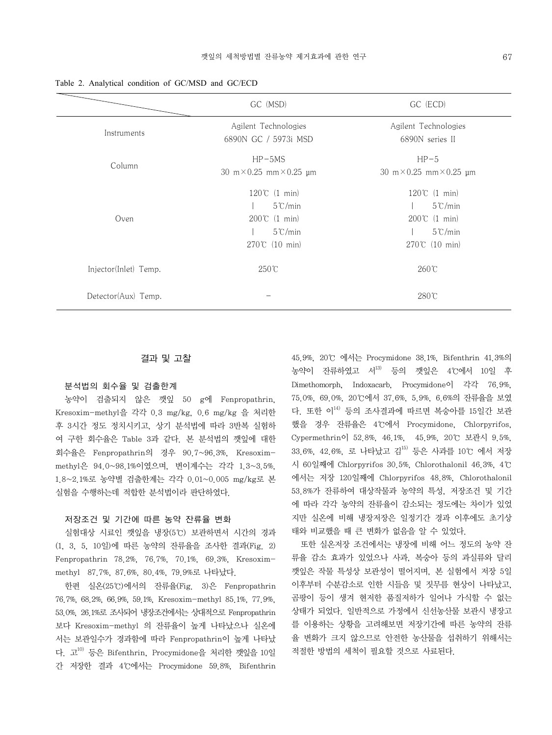| 'D                                |                                         |
|-----------------------------------|-----------------------------------------|
| GC (MSD)                          | GC (ECD)                                |
| nt Technologies<br>GC / 5973i MSD | Agilent Technologies<br>6890N series II |

Table 2. Analytical condition of GC/MSD and GC/ECD

### Instruments Agilent T 6890N GC Column HP-5MS 30 m×0.25 mm×0.25 μm  $HP-5$ 30 m×0.25 mm×0.25 μm Oven 120℃ (1 min) | 5℃/min 200℃ (1 min) | 5℃/min 270℃ (10 min) 120℃ (1 min) | 5℃/min 200℃ (1 min) | 5℃/min 270℃ (10 min) Injector(Inlet) Temp. 250℃ 260℃ Detector(Aux) Temp. - 280℃

### 결과 및 고찰

### 분석법의 회수율 및 검출한계

농약이 검출되지 않은 깻잎 50 g에 Fenpropathrin, Kresoxim-methyl을 각각 0.3 mg/kg, 0.6 mg/kg 을 처리한 후 3시간 정도 정치시키고, 상기 분석법에 따라 3반복 실험하 여 구한 회수율은 Table 3과 같다. 본 분석법의 깻잎에 대한 회수율은 Fenpropathrin의 경우 90.7~96.3%, Kresoximmethyl은 94.0~98.1%이였으며, 변이계수는 각각 1.3~3.5%, 1.8~2.1%로 농약별 검출한계는 각각 0.01~0.005 mg/kg로 본 실험을 수행하는데 적합한 분석법이라 판단하였다.

#### 저장조건 및 기간에 따른 농약 잔류율 변화

실험대상 시료인 깻잎을 냉장(5℃) 보관하면서 시간의 경과 (1, 3, 5, 10일)에 따른 농약의 잔류율을 조사한 결과(Fig. 2) Fenpropathrin 78.2%, 76.7%, 70.1%, 69.3%, Kresoximmethyl 87.7%, 87.6%, 80.4%, 79.9%로 나타났다.

한편 실온(25℃)에서의 잔류율(Fig. 3)은 Fenpropathrin 76.7%, 68.2%, 66.9%, 59.1%, Kresoxim-methyl 85.1%, 77.9%, 53.0%, 26.1%로 조사되어 냉장조건에서는 상대적으로 Fenpropathrin 보다 Kresoxim-methyl 의 잔류율이 높게 나타났으나 실온에 서는 보관일수가 경과함에 따라 Fenpropathrin이 높게 나타났 다. 고10) 등은 Bifenthrin, Procymidone을 처리한 깻잎을 10일 간 저장한 결과 4℃에서는 Procymidone 59.8%, Bifenthrin

45.9%, 20℃ 에서는 Procymidone 38.1%, Bifenthrin 41.3%의 농약이 잔류하였고 서13) 등의 깻잎은 4℃에서 10일 후 Dimethomorph, Indoxacarb, Procymidone이 각각 76.9%, 75.0%, 69.0%, 20℃에서 37.6%, 5.9%, 6.6%의 잔류율을 보였 다. 또한 이14) 등의 조사결과에 따르면 복숭아를 15일간 보관 했을 경우 잔류율은 4℃에서 Procymidone, Chlorpyrifos, Cypermethrin이 52.8%, 46.1%, 45.9%, 20℃ 보관시 9.5%, 33.6%, 42.6%, 로 나타났고 김15) 등은 사과를 10℃ 에서 저장 시 60일째에 Chlorpyrifos 30.5%, Chlorothalonil 46.3%, 4℃ 에서는 저장 120일째에 Chlorpyrifos 48.8%, Chlorothalonil 53.8%가 잔류하여 대상작물과 농약의 특성, 저장조건 및 기간 에 따라 각각 농약의 잔류율이 감소되는 정도에는 차이가 있었 지만 실온에 비해 냉장저장은 일정기간 경과 이후에도 초기상 태와 비교했을 때 큰 변화가 없음을 알 수 있었다.

또한 실온저장 조건에서는 냉장에 비해 어느 정도의 농약 잔 류율 감소 효과가 있었으나 사과, 복숭아 등의 과실류와 달리 깻잎은 작물 특성상 보관성이 떨어지며, 본 실험에서 저장 5일 이후부터 수분감소로 인한 시들음 및 짓무름 현상이 나타났고, 곰팡이 등이 생겨 현저한 품질저하가 일어나 가식할 수 없는 상태가 되었다. 일반적으로 가정에서 신선농산물 보관시 냉장고 를 이용하는 상황을 고려해보면 저장기간에 따른 농약의 잔류 율 변화가 크지 않으므로 안전한 농산물을 섭취하기 위해서는 적절한 방법의 세척이 필요할 것으로 사료된다.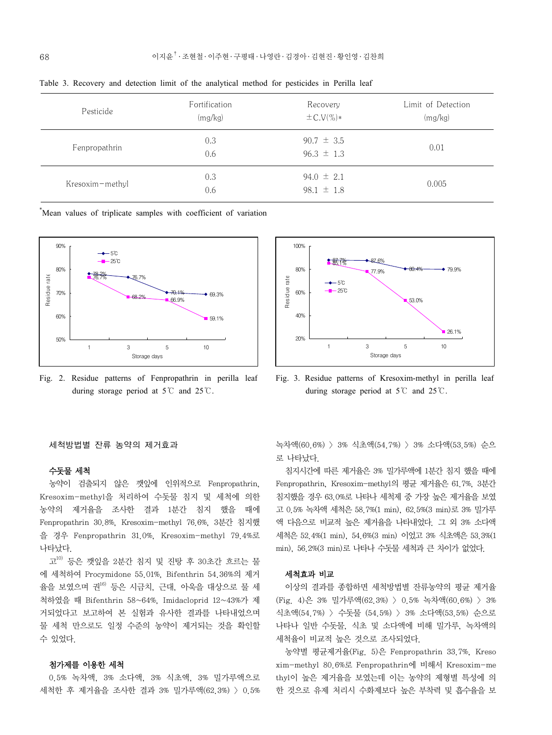| Pesticide       | Fortification<br>(mg/kg) | Recovery<br>$\pm$ C.V(%)*        | Limit of Detection<br>(mg/kg) |
|-----------------|--------------------------|----------------------------------|-------------------------------|
| Fenpropathrin   | 0.3<br>0.6               | $90.7 \pm 3.5$<br>$96.3 \pm 1.3$ | 0.01                          |
| Kresoxim-methyl | 0.3<br>0.6               | $94.0 \pm 2.1$<br>98.1 $\pm$ 1.8 | 0.005                         |

Table 3. Recovery and detection limit of the analytical method for pesticides in Perilla leaf

\* Mean values of triplicate samples with coefficient of variation



Fig. 2. Residue patterns of Fenpropathrin in perilla leaf during storage period at 5℃ and 25℃.

#### 세척방법별 잔류 농약의 제거효과

### 수돗물 세척

농약이 검출되지 않은 깻잎에 인위적으로 Fenpropathrin, Kresoxim-methyl을 처리하여 수돗물 침지 및 세척에 의한 농약의 제거율을 조사한 결과 1분간 침지 했을 때에 Fenpropathrin 30.8%, Kresoxim-methyl 76.6%, 3분간 침지했 을 경우 Fenpropathrin 31.0%, Kresoxim-methyl 79.4%로 나타났다.

 $\mathbf{I}^{10)}$  등은 깻잎을 2분간 침지 및 진탕 후 30초간 흐르는 물 에 세척하여 Procymidone 55.01%, Bifenthrin 54.36%의 제거 율을 보였으며 권16) 등은 시금치, 근대, 아욱을 대상으로 물 세 척하였을 때 Bifenthrin 58~64%, Imidacloprid 12~43%가 제 거되었다고 보고하여 본 실험과 유사한 결과를 나타내었으며 물 세척 만으로도 일정 수준의 농약이 제거되는 것을 확인할 수 있었다.

### 첨가제를 이용한 세척

0.5% 녹차액, 3% 소다액, 3% 식초액, 3% 밀가루액으로 세척한 후 제거율을 조사한 결과 3% 밀가루액(62.3%) > 0.5%



Fig. 3. Residue patterns of Kresoxim-methyl in perilla leaf during storage period at 5℃ and 25℃.

녹차액(60.6%) > 3% 식초액(54.7%) > 3% 소다액(53.5%) 순으 로 나타났다.

침지시간에 따른 제거율은 3% 밀가루액에 1분간 침지 했을 때에 Fenpropathrin, Kresoxim-methyl의 평균 제거율은 61.7%, 3분간 침지했을 경우 63.0%로 나타나 세척제 중 가장 높은 제거율을 보였 고 0.5% 녹차액 세척은 58.7%(1 min), 62.5%(3 min)로 3% 밀가루 액 다음으로 비교적 높은 제거율을 나타내었다. 그 외 3% 소다액 세척은 52.4%(1 min), 54.6%(3 min) 이었고 3% 식초액은 53.3%(1 min), 56.2%(3 min)로 나타나 수돗물 세척과 큰 차이가 없었다.

### 세척효과 비교

이상의 결과를 종합하면 세척방법별 잔류농약의 평균 제거율 (Fig. 4)은 3% 밀가루액(62.3%) > 0.5% 녹차액(60.6%) > 3% 식초액(54.7%) > 수돗물 (54.5%) > 3% 소다액(53.5%) 순으로 나타나 일반 수돗물, 식초 및 소다액에 비해 밀가루, 녹차액의 세척율이 비교적 높은 것으로 조사되었다.

농약별 평균제거율(Fig. 5)은 Fenpropathrin 33.7%, Kreso xim-methyl 80.6%로 Fenpropathrin에 비해서 Kresoxim-me thyl이 높은 제거율을 보였는데 이는 농약의 제형별 특성에 의 한 것으로 유제 처리시 수화제보다 높은 부착력 및 흡수율을 보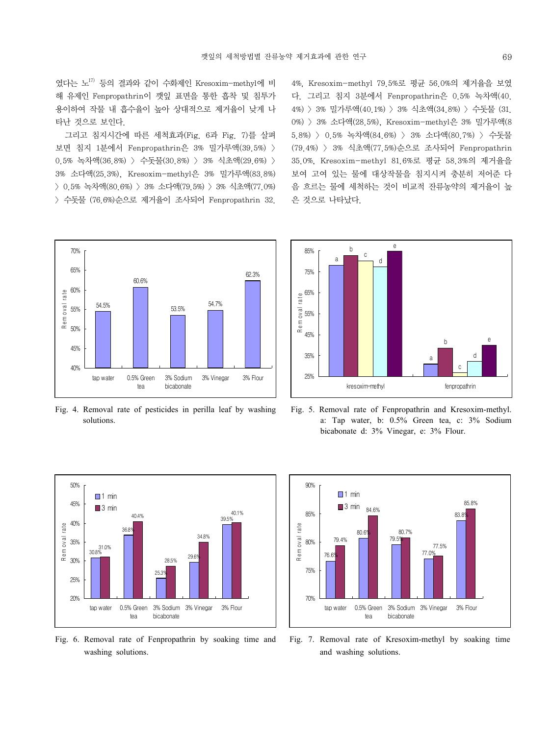였다는 노17) 등의 결과와 같이 수화제인 Kresoxim-methyl에 비 해 유제인 Fenpropathrin이 깻잎 표면을 통한 흡착 및 침투가 용이하여 작물 내 흡수율이 높아 상대적으로 제거율이 낮게 나 타난 것으로 보인다.

그리고 침지시간에 따른 세척효과(Fig. 6과 Fig. 7)를 살펴 보면 침지 1분에서 Fenpropathrin은 3% 밀가루액(39.5%) > 0.5% 녹차액(36.8%) > 수돗물(30.8%) > 3% 식초액(29.6%) > 3% 소다액(25.3%), Kresoxim-methyl은 3% 밀가루액(83.8%) > 0.5% 녹차액(80.6%) > 3% 소다액(79.5%) > 3% 식초액(77.0%) > 수돗물 (76.6%)순으로 제거율이 조사되어 Fenpropathrin 32.

4%, Kresoxim-methyl 79.5%로 평균 56.0%의 제거율을 보였 다. 그리고 침지 3분에서 Fenpropathrin은 0.5% 녹차액(40. 4%) > 3% 밀가루액(40.1%) > 3% 식초액(34.8%) > 수돗물 (31. 0%) > 3% 소다액(28.5%), Kresoxim-methyl은 3% 밀가루액(8 5.8%) > 0.5% 녹차액(84.6%) > 3% 소다액(80.7%) > 수돗물 (79.4%) > 3% 식초액(77.5%)순으로 조사되어 Fenpropathrin 35.0%, Kresoxim-methyl 81.6%로 평균 58.3%의 제거율을 보여 고여 있는 물에 대상작물을 침지시켜 충분히 저어준 다 음 흐르는 물에 세척하는 것이 비교적 잔류농약의 제거율이 높 은 것으로 나타났다.



Fig. 4. Removal rate of pesticides in perilla leaf by washing solutions.



Fig. 5. Removal rate of Fenpropathrin and Kresoxim-methyl. a: Tap water, b: 0.5% Green tea, c: 3% Sodium bicabonate d: 3% Vinegar, e: 3% Flour.



Fig. 6. Removal rate of Fenpropathrin by soaking time and washing solutions.



Fig. 7. Removal rate of Kresoxim-methyl by soaking time and washing solutions.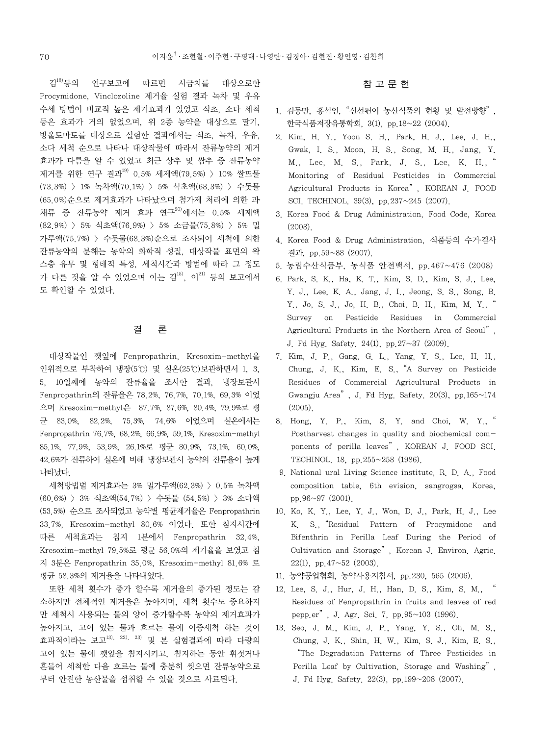김18)등의 연구보고에 따르면 시금치를 대상으로한 Procymidone, Vinclozoline 제거율 실험 결과 녹차 및 우유 수세 방법이 비교적 높은 제거효과가 있었고 식초, 소다 세척 등은 효과가 거의 없었으며, 위 2종 농약을 대상으로 딸기, 방울토마토를 대상으로 실험한 결과에서는 식초, 녹차, 우유, 소다 세척 순으로 나타나 대상작물에 따라서 잔류농약의 제거 효과가 다름을 알 수 있었고 최근 상추 및 쌈추 중 잔류농약 제거를 위한 연구 결과<sup>19)</sup> 0.5% 세제액(79.5%) > 10% 쌀뜨물 (73.3%) > 1% 녹차액(70.1%) > 5% 식초액(68.3%) > 수돗물 (65.0%)순으로 제거효과가 나타났으며 첨가제 처리에 의한 과․ 채류 중 잔류농약 제거 효과 연구 $^{200}$ 에서는 0.5% 세제액 (82.9%) > 5% 식초액(76.9%) > 5% 소금물(75.8%) > 5% 밀 가루액(75.7%) > 수돗물(68.3%)순으로 조사되어 세척에 의한 잔류농약의 분해는 농약의 화학적 성질, 대상작물 표면의 왁 스층 유무 및 형태적 특성, 세척시간과 방법에 따라 그 정도 가 다른 것을 알 수 있었으며 이는 김<sup>15)</sup>, 이<sup>21)</sup> 등의 보고에서 도 확인할 수 있었다.

## 결 론

대상작물인 깻잎에 Fenpropathrin, Kresoxim-methyl을 인위적으로 부착하여 냉장(5℃) 및 실온(25℃)보관하면서 1, 3, 5, 10일째에 농약의 잔류율을 조사한 결과, 냉장보관시 Fenpropathrin의 잔류율은 78.2%, 76.7%, 70.1%, 69.3% 이었 으며 Kresoxim-methyl은 87.7%, 87.6%, 80.4%, 79.9%로 평 균 83.0%, 82.2%, 75.3%, 74.6% 이었으며 실온에서는 Fenpropathrin 76.7%, 68.2%, 66.9%, 59.1%, Kresoxim-methyl 85.1%, 77.9%, 53.9%, 26.1%로 평균 80.9%, 73.1%, 60.0%, 42.6%가 잔류하여 실온에 비해 냉장보관시 농약의 잔류율이 높게 나타났다.

세척방법별 제거효과는 3% 밀가루액(62.3%) > 0.5% 녹차액 (60.6%) > 3% 식초액(54.7%) > 수돗물 (54.5%) > 3% 소다액 (53.5%) 순으로 조사되었고 농약별 평균제거율은 Fenpropathrin 33.7%, Kresoxim-methyl 80.6% 이었다. 또한 침지시간에 따른 세척효과는 침지 1분에서 Fenpropathrin 32.4%, Kresoxim-methyl 79.5%로 평균 56.0%의 제거율을 보였고 침 지 3분은 Fenpropathrin 35.0%, Kresoxim-methyl 81.6% 로 평균 58.3%의 제거율을 나타내었다.

또한 세척 횟수가 증가 할수록 제거율의 증가된 정도는 감 소하지만 전체적인 제거율은 높아지며, 세척 횟수도 중요하지 만 세척시 사용되는 물의 양이 증가할수록 농약의 제거효과가 높아지고, 고여 있는 물과 흐르는 물에 이중세척 하는 것이 효과적이라는 보고13), 22), 23) 및 본 실험결과에 따라 다량의 고여 있는 물에 깻잎을 침지시키고, 침지하는 동안 휘젓거나 흔들어 세척한 다음 흐르는 물에 충분히 씻으면 잔류농약으로 부터 안전한 농산물을 섭취할 수 있을 것으로 사료된다.

# 참 고 문 헌

- 1. 김동만, 홍석인, "신선편이 농산식품의 현황 및 발전방향". 한국식품저장유통학회, 3(1), pp.18~22 (2004).
- 2. Kim, H. Y., Yoon S. H., Park, H. J., Lee, J. H., Gwak, I. S., Moon, H. S., Song, M. H., Jang, Y. M., Lee, M. S., Park, J. S., Lee, K. H., Monitoring of Residual Pesticides in Commercial Agricultural Products in Korea", KOREAN J. FOOD SCI. TECHINOL. 39(3), pp.237~245 (2007).
- 3. Korea Food & Drug Administration, Food Code, Korea  $(2008)$
- 4. Korea Food & Drug Administration, 식품등의 수거․검사 결과, pp.59~88 (2007).
- 5. 농림수산식품부, 농식품 안전백서, pp.467~476 (2008)
- 6. Park, S. K., Ha, K. T., Kim, S. D., Kim, S. J., Lee, Y. J., Lee, K. A., Jang, J. I., Jeong, S. S., Song, B. Y., Jo, S. J., Jo, H. B., Choi, B. H., Kim, M. Y., Survey on Pesticide Residues in Commercial Agricultural Products in the Northern Area of Seoul". J. Fd Hyg. Safety.  $24(1)$ , pp. $27~37$  (2009).
- 7. Kim, J. P., Gang, G. L., Yang, Y. S., Lee, H. H., Chung, J. K., Kim, E. S., "A Survey on Pesticide Residues of Commercial Agricultural Products in Gwangju Area<sup>"</sup>, J. Fd Hyg. Safety. 20(3), pp.  $165 \sim 174$ (2005).
- 8. Hong, Y. P., Kim, S. Y. and Choi, W. Y., Postharvest changes in quality and biochemical components of perilla leaves", KOREAN J. FOOD SCI. TECHINOL. 18, pp.255~258 (1986).
- 9. National ural Living Science institute, R. D. A., Food composition table, 6th evision, sangrogsa, Korea, pp.96~97 (2001).
- 10. Ko, K. Y., Lee, Y. J., Won, D. J., Park, H. J., Lee K. S., "Residual Pattern of Procymidone and Bifenthrin in Perilla Leaf During the Period of Cultivation and Storage". Korean J. Environ. Agric.  $22(1)$ , pp.  $47 \sim 52$  (2003).
- 11. 농약공업협회, 농약사용지침서, pp.230, 565 (2006).
- 12. Lee, S. J., Hur, J. H., Han, D. S., Kim, S. M., Residues of Fenpropathrin in fruits and leaves of red pepp.er". J. Agr. Sci. 7, pp.  $95 \sim 103$  (1996).
- 13. Seo, J. M., Kim, J. P., Yang, Y. S., Oh, M. S., Chung, J. K., Shin, H. W., Kim, S. J., Kim, E. S., The Degradation Patterns of Three Pesticides in Perilla Leaf by Cultivation, Storage and Washing", J. Fd Hyg. Safety. 22(3), pp.199~208 (2007).